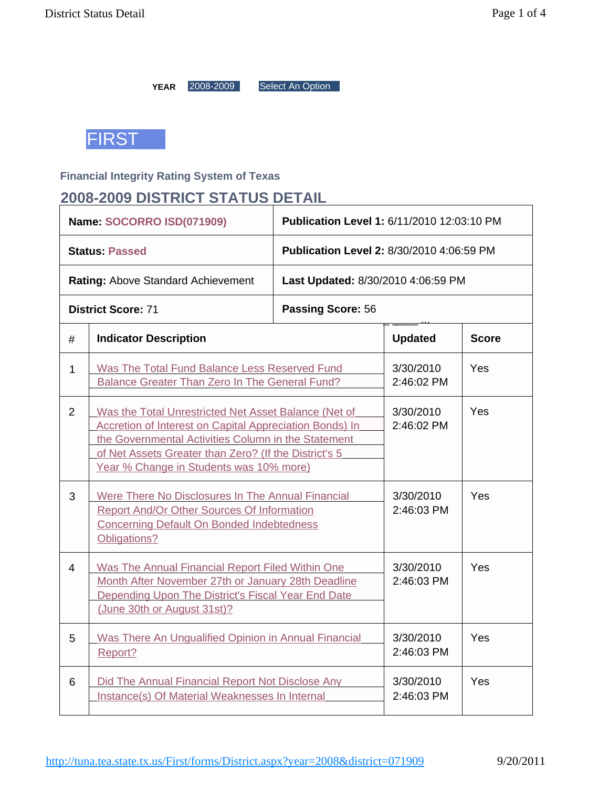YEAR 2008-2009 Select An Option



### **Financial Integrity Rating System of Texas**

## **2008-2009 DISTRICT STATUS DETAIL**

|                | Name: SOCORRO ISD(071909)                                                                                                                                                                                                                                                         | Publication Level 1: 6/11/2010 12:03:10 PM |                         |              |  |  |  |
|----------------|-----------------------------------------------------------------------------------------------------------------------------------------------------------------------------------------------------------------------------------------------------------------------------------|--------------------------------------------|-------------------------|--------------|--|--|--|
|                | <b>Status: Passed</b>                                                                                                                                                                                                                                                             | Publication Level 2: 8/30/2010 4:06:59 PM  |                         |              |  |  |  |
|                | Rating: Above Standard Achievement                                                                                                                                                                                                                                                | Last Updated: 8/30/2010 4:06:59 PM         |                         |              |  |  |  |
|                | <b>District Score: 71</b>                                                                                                                                                                                                                                                         | Passing Score: 56                          |                         |              |  |  |  |
| #              | <b>Indicator Description</b>                                                                                                                                                                                                                                                      |                                            | <b>Updated</b>          | <b>Score</b> |  |  |  |
| 1              | Was The Total Fund Balance Less Reserved Fund<br><b>Balance Greater Than Zero In The General Fund?</b>                                                                                                                                                                            |                                            | 3/30/2010<br>2:46:02 PM | Yes          |  |  |  |
| 2              | Was the Total Unrestricted Net Asset Balance (Net of<br><b>Accretion of Interest on Capital Appreciation Bonds) In</b><br>the Governmental Activities Column in the Statement<br>of Net Assets Greater than Zero? (If the District's 5<br>Year % Change in Students was 10% more) | 3/30/2010<br>2:46:02 PM                    | Yes                     |              |  |  |  |
| 3              | Were There No Disclosures In The Annual Financial<br>Report And/Or Other Sources Of Information<br><b>Concerning Default On Bonded Indebtedness</b><br>Obligations?                                                                                                               |                                            | 3/30/2010<br>2:46:03 PM | Yes          |  |  |  |
| $\overline{4}$ | Was The Annual Financial Report Filed Within One<br>Month After November 27th or January 28th Deadline<br>Depending Upon The District's Fiscal Year End Date<br>(June 30th or August 31st)?                                                                                       | 3/30/2010<br>2:46:03 PM                    | Yes                     |              |  |  |  |
| 5              | Was There An Ungualified Opinion in Annual Financial<br>Report?                                                                                                                                                                                                                   | 3/30/2010<br>2:46:03 PM                    | Yes                     |              |  |  |  |
| 6              | Did The Annual Financial Report Not Disclose Any<br>Instance(s) Of Material Weaknesses In Internal                                                                                                                                                                                | 3/30/2010<br>2:46:03 PM                    | Yes                     |              |  |  |  |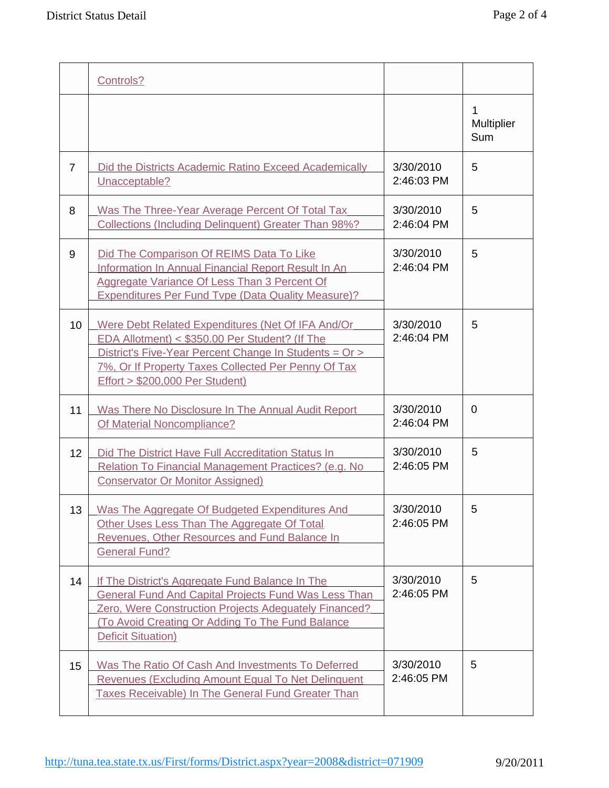|                | Controls?                                                                                                                                                                                                                                                         |                         |                        |
|----------------|-------------------------------------------------------------------------------------------------------------------------------------------------------------------------------------------------------------------------------------------------------------------|-------------------------|------------------------|
|                |                                                                                                                                                                                                                                                                   |                         | 1<br>Multiplier<br>Sum |
| $\overline{7}$ | Did the Districts Academic Ratino Exceed Academically<br>Unacceptable?                                                                                                                                                                                            | 3/30/2010<br>2:46:03 PM | 5                      |
| 8              | Was The Three-Year Average Percent Of Total Tax<br><b>Collections (Including Delinquent) Greater Than 98%?</b>                                                                                                                                                    | 3/30/2010<br>2:46:04 PM | 5                      |
| 9              | Did The Comparison Of REIMS Data To Like<br>Information In Annual Financial Report Result In An<br>Aggregate Variance Of Less Than 3 Percent Of<br><b>Expenditures Per Fund Type (Data Quality Measure)?</b>                                                      | 3/30/2010<br>2:46:04 PM | 5                      |
| 10             | Were Debt Related Expenditures (Net Of IFA And/Or<br>EDA Allotment) < \$350.00 Per Student? (If The<br>District's Five-Year Percent Change In Students = Or ><br>7%, Or If Property Taxes Collected Per Penny Of Tax<br><b>Effort &gt; \$200,000 Per Student)</b> | 3/30/2010<br>2:46:04 PM | 5                      |
| 11             | Was There No Disclosure In The Annual Audit Report<br>Of Material Noncompliance?                                                                                                                                                                                  | 3/30/2010<br>2:46:04 PM | $\overline{0}$         |
| 12             | Did The District Have Full Accreditation Status In<br>Relation To Financial Management Practices? (e.g. No<br><b>Conservator Or Monitor Assigned)</b>                                                                                                             | 3/30/2010<br>2:46:05 PM | 5                      |
| 13             | Was The Aggregate Of Budgeted Expenditures And<br>Other Uses Less Than The Aggregate Of Total<br><b>Revenues, Other Resources and Fund Balance In</b><br><b>General Fund?</b>                                                                                     | 3/30/2010<br>2:46:05 PM | 5                      |
| 14             | If The District's Aggregate Fund Balance In The<br><b>General Fund And Capital Projects Fund Was Less Than</b><br>Zero, Were Construction Projects Adequately Financed?<br>(To Avoid Creating Or Adding To The Fund Balance<br><b>Deficit Situation)</b>          | 3/30/2010<br>2:46:05 PM | 5                      |
| 15             | Was The Ratio Of Cash And Investments To Deferred<br>Revenues (Excluding Amount Equal To Net Delinguent<br><b>Taxes Receivable) In The General Fund Greater Than</b>                                                                                              | 3/30/2010<br>2:46:05 PM | 5                      |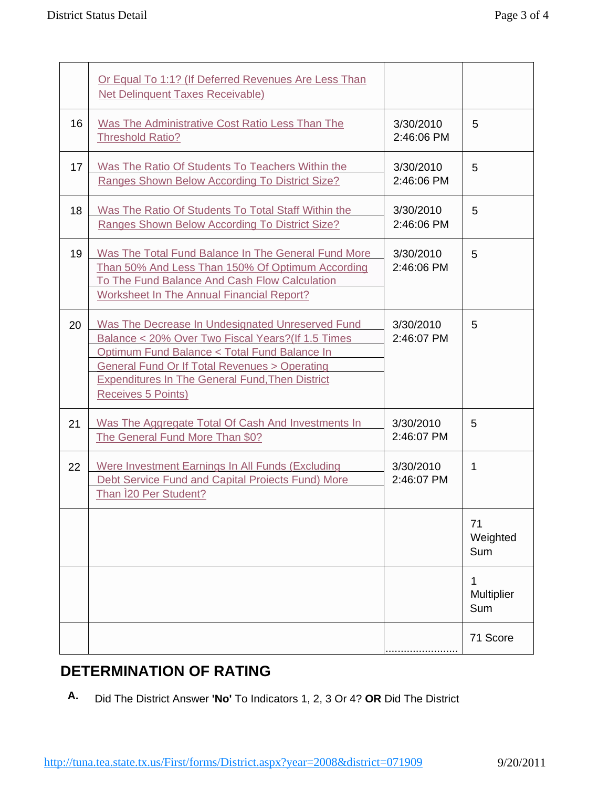|    | Or Equal To 1:1? (If Deferred Revenues Are Less Than<br><b>Net Delinquent Taxes Receivable)</b>                                                                                                                                                                                                          |                         |                        |
|----|----------------------------------------------------------------------------------------------------------------------------------------------------------------------------------------------------------------------------------------------------------------------------------------------------------|-------------------------|------------------------|
| 16 | Was The Administrative Cost Ratio Less Than The<br><b>Threshold Ratio?</b>                                                                                                                                                                                                                               | 3/30/2010<br>2:46:06 PM | 5                      |
| 17 | Was The Ratio Of Students To Teachers Within the<br>Ranges Shown Below According To District Size?                                                                                                                                                                                                       | 3/30/2010<br>2:46:06 PM | 5                      |
| 18 | Was The Ratio Of Students To Total Staff Within the<br>Ranges Shown Below According To District Size?                                                                                                                                                                                                    | 3/30/2010<br>2:46:06 PM | 5                      |
| 19 | Was The Total Fund Balance In The General Fund More<br>Than 50% And Less Than 150% Of Optimum According<br>To The Fund Balance And Cash Flow Calculation<br><b>Worksheet In The Annual Financial Report?</b>                                                                                             | 3/30/2010<br>2:46:06 PM | 5                      |
| 20 | Was The Decrease In Undesignated Unreserved Fund<br>Balance < 20% Over Two Fiscal Years? (If 1.5 Times<br>Optimum Fund Balance < Total Fund Balance In<br><b>General Fund Or If Total Revenues &gt; Operating</b><br><b>Expenditures In The General Fund, Then District</b><br><b>Receives 5 Points)</b> | 3/30/2010<br>2:46:07 PM | 5                      |
| 21 | Was The Aggregate Total Of Cash And Investments In<br>The General Fund More Than \$0?                                                                                                                                                                                                                    | 3/30/2010<br>2:46:07 PM | 5                      |
| 22 | Were Investment Earnings In All Funds (Excluding<br>Debt Service Fund and Capital Proiects Fund) More<br>Than 120 Per Student?                                                                                                                                                                           | 3/30/2010<br>2:46:07 PM | $\mathbf{1}$           |
|    |                                                                                                                                                                                                                                                                                                          |                         | 71<br>Weighted<br>Sum  |
|    |                                                                                                                                                                                                                                                                                                          |                         | 1<br>Multiplier<br>Sum |
|    |                                                                                                                                                                                                                                                                                                          |                         | 71 Score               |

# **DETERMINATION OF RATING**

**A.** Did The District Answer **'No'** To Indicators 1, 2, 3 Or 4? **OR** Did The District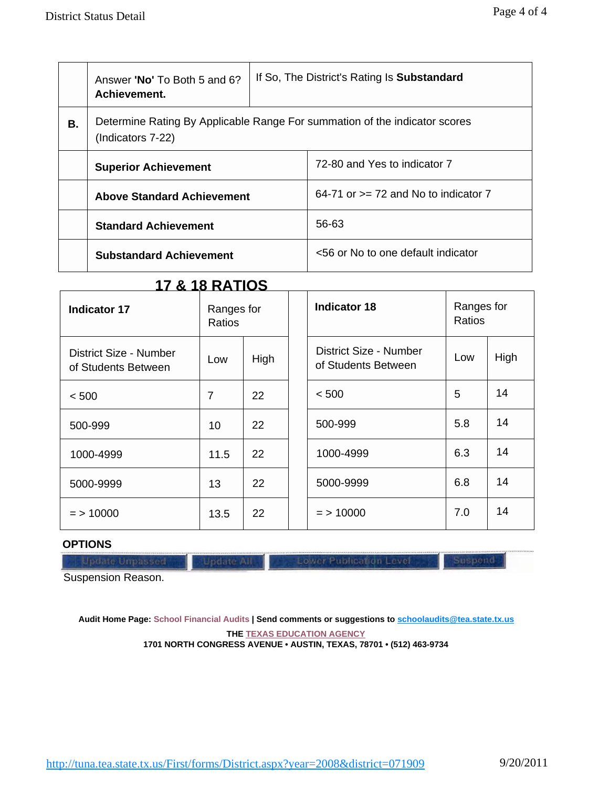|    | Answer 'No' To Both 5 and 6?<br>Achievement. | If So, The District's Rating Is Substandard |                                                                            |  |  |  |  |
|----|----------------------------------------------|---------------------------------------------|----------------------------------------------------------------------------|--|--|--|--|
| В. | (Indicators 7-22)                            |                                             | Determine Rating By Applicable Range For summation of the indicator scores |  |  |  |  |
|    | <b>Superior Achievement</b>                  |                                             | 72-80 and Yes to indicator 7                                               |  |  |  |  |
|    | <b>Above Standard Achievement</b>            |                                             | 64-71 or $>= 72$ and No to indicator 7                                     |  |  |  |  |
|    | <b>Standard Achievement</b>                  |                                             | 56-63                                                                      |  |  |  |  |
|    | <b>Substandard Achievement</b>               |                                             | <56 or No to one default indicator                                         |  |  |  |  |

## **17 & 18 RATIOS**

| <b>Indicator 17</b>                           | Ranges for<br>Ratios |      | <b>Indicator 18</b>                           | Ranges for<br>Ratios |      |
|-----------------------------------------------|----------------------|------|-----------------------------------------------|----------------------|------|
| District Size - Number<br>of Students Between | Low                  | High | District Size - Number<br>of Students Between | Low                  | High |
| < 500                                         | 7                    | 22   | < 500                                         | 5                    | 14   |
| 500-999                                       | 10                   | 22   | 500-999                                       | 5.8                  | 14   |
| 1000-4999                                     | 11.5                 | 22   | 1000-4999                                     | 6.3                  | 14   |
| 5000-9999                                     | 13                   | 22   | 5000-9999                                     | 6.8                  | 14   |
| $=$ > 10000                                   | 13.5                 | 22   | $=$ > 10000                                   | 7.0                  | 14   |

### **OPTIONS**

Lower Publication Level

Suspend

Suspension Reason.

**Audit Home Page: School Financial Audits | Send comments or suggestions to [schoolaudits@tea.state.tx.us](mailto:schoolaudits@tea.state.tx.us) THE TEXAS EDUCATION AGENCY**

**1701 NORTH CONGRESS AVENUE • AUSTIN, TEXAS, 78701 • (512) 463-9734**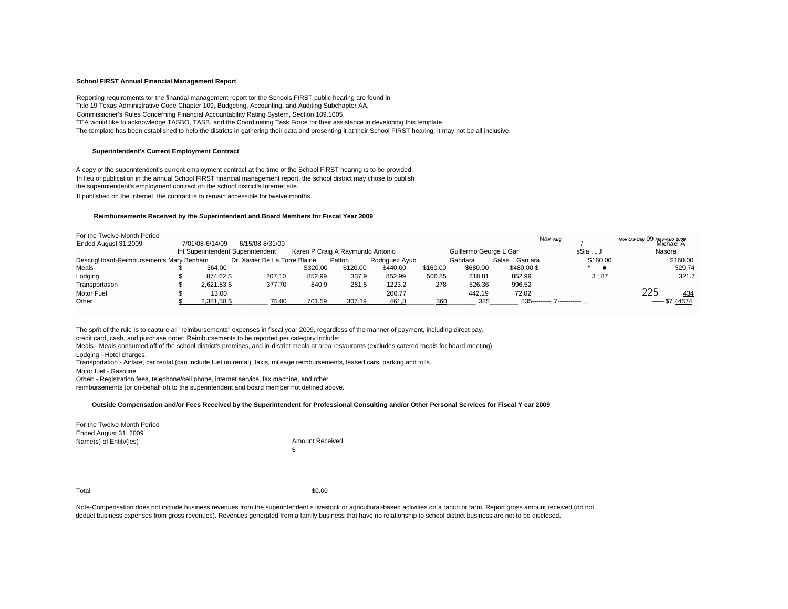#### School FIRST Annual Financial Management Report

Reporting requirements tor the finandal management report tor the Schools FIRST public hearing are found in Title 19 Texas Administrative Code Chapter 109, Budgeting, Accounting, and Auditing Subchapter AA, Commissioner's Rules Concerning Financial Accountability Rating System, Section 109.1005. TEA would like to acknowledge TASBO. TASB, and the Coordinating Task Force for their assistance in developing this template. The template has been established to help the districts in gathering their data and presenting it at their School FIRST hearing, it may not be all inclusive.

#### **Superintendent's Current Employment Contract**

A copy of the superintendent's current employment contract at the time of the School FIRST hearing is to be provided. In lieu of publication in the annual School FIRST financial management report, the school district may chose to publish the superintendent's employment contract on the school district's Internet site.

If published on the Internet, the contract is to remain accessible for twelve months.

#### Reimbursements Received by the Superintendent and Board Members for Fiscal Year 2009

| For the Twelve-Month Period             |                 |                                   |         |                                  |                |          |                        |                  | Nav Aug                      |                                         |
|-----------------------------------------|-----------------|-----------------------------------|---------|----------------------------------|----------------|----------|------------------------|------------------|------------------------------|-----------------------------------------|
| Ended August 31.2009                    | 7/01/08-6/14/09 | 6/15/08-8/31/09                   |         |                                  |                |          |                        |                  |                              | Nov OS-Uay 09 May-Auo 2009<br>Michael A |
|                                         |                 | Int Superintendent Superintendent |         | Karen P Craig A Raymundo Antonio |                |          | Guillermo George L Gar |                  | sSia. J                      | Nasora                                  |
| DescrigUoaof-Reimbursements Mary Benham |                 | Dr. Xavier De La Torre Blaine     |         | Patton                           | Rodriguez Ayub |          | Gandara                | Salas. . Gan ara | S160 00                      | \$160.00                                |
| Meals                                   | 364.00          |                                   | S320.00 | \$120.00                         | \$440.00       | \$160.00 | \$680.00               | \$480.00\$       |                              | 52974                                   |
| Lodging                                 | 874.62\$        | 207.10                            | 852.99  | 337.9                            | 852.99         | 506.85   | 818.81                 | 852.99           | 3:87                         | 321.7                                   |
| Transportation                          | 2.621.83 \$     | 377.70                            | 840.9   | 281.5                            | 1223.2         | 278      | 526.36                 | 996.52           |                              |                                         |
| Motor Fuel                              | 13.00           |                                   |         |                                  | 200.77         |          | 442.19                 | 72.02            |                              | 434                                     |
| Other                                   | 2.381.50\$      | 75.00                             | 701.59  | 307.19                           | 461.8          | 360      | 385                    |                  | 535---------- .7------------ | $--- $7.44574$                          |

The sprit of the rule Is to capture all "reimbursements" expenses in fiscal year 2009, regardless of the manner of payment, including direct pay,

credit card, cash, and purchase order. Reimbursements to be reported per category include:

Meals - Meals consumed off of the school district's premises, and in-district meals at area restaurants (excludes catered meals for board meeting).

Lodging - Hotel charges.

Transportation - Airfare, car rental (can include fuel on rental), taxis, mileage reimbursements, leased cars, parking and tolls.

Motor fuel - Gasoline.

Other: - Registration fees, telephone/cell phone, internet service, fax machine, and other

reimbursements (or on-behalf of) to the superintendent and board member not defined above.

#### Outside Compensation and/or Fees Received by the Superintendent for Professional Consulting and/or Other Personal Services for Fiscal Y car 2009

For the Twelve-Month Period Ended August 31. 2009 Name(s) of Entity(ies)

**Amount Received**  $\hat{\mathcal{L}}$ 

Total

\$0.00

Note-Compensation does not include business revenues from the superintendent s livestock or agricultural-based activities on a ranch or farm. Report gross amount received (do not deduct business expenses from gross revenues). Revenues generated from a family business that have no relationship to school district business are not to be disclosed.